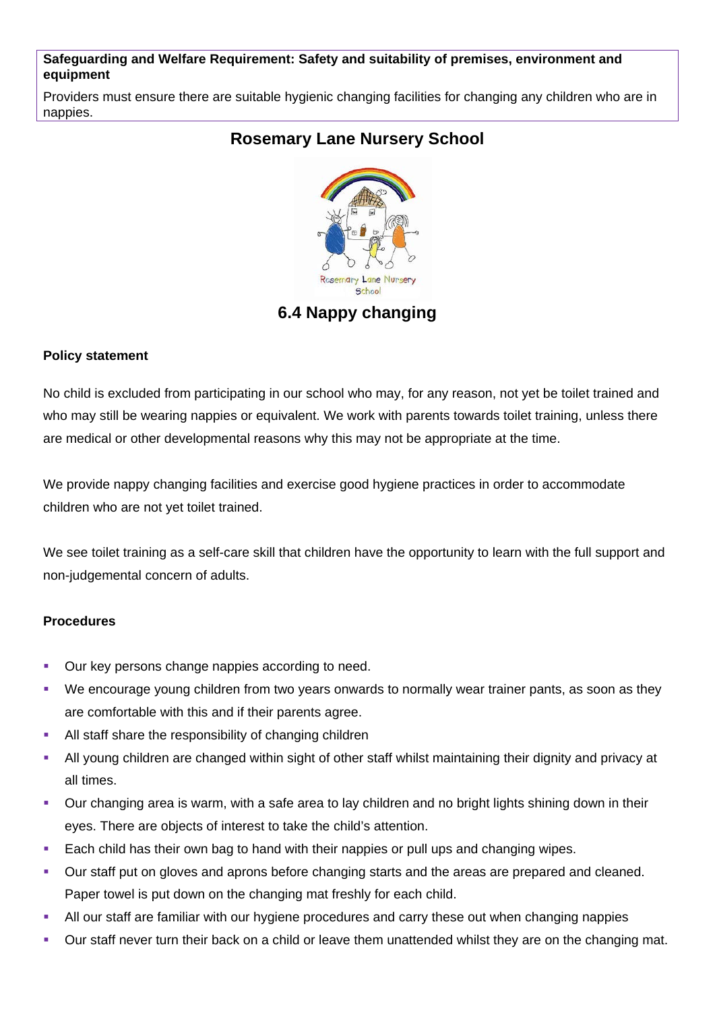#### **Safeguarding and Welfare Requirement: Safety and suitability of premises, environment and equipment**

Providers must ensure there are suitable hygienic changing facilities for changing any children who are in nappies.

# **Rosemary Lane Nursery School**



## **6.4 Nappy changing**

### **Policy statement**

No child is excluded from participating in our school who may, for any reason, not yet be toilet trained and who may still be wearing nappies or equivalent. We work with parents towards toilet training, unless there are medical or other developmental reasons why this may not be appropriate at the time.

We provide nappy changing facilities and exercise good hygiene practices in order to accommodate children who are not yet toilet trained.

We see toilet training as a self-care skill that children have the opportunity to learn with the full support and non-judgemental concern of adults.

### **Procedures**

- Our key persons change nappies according to need.
- We encourage young children from two years onwards to normally wear trainer pants, as soon as they are comfortable with this and if their parents agree.
- All staff share the responsibility of changing children
- All young children are changed within sight of other staff whilst maintaining their dignity and privacy at all times.
- Our changing area is warm, with a safe area to lay children and no bright lights shining down in their eyes. There are objects of interest to take the child's attention.
- Each child has their own bag to hand with their nappies or pull ups and changing wipes.
- Our staff put on gloves and aprons before changing starts and the areas are prepared and cleaned. Paper towel is put down on the changing mat freshly for each child.
- All our staff are familiar with our hygiene procedures and carry these out when changing nappies
- Our staff never turn their back on a child or leave them unattended whilst they are on the changing mat.